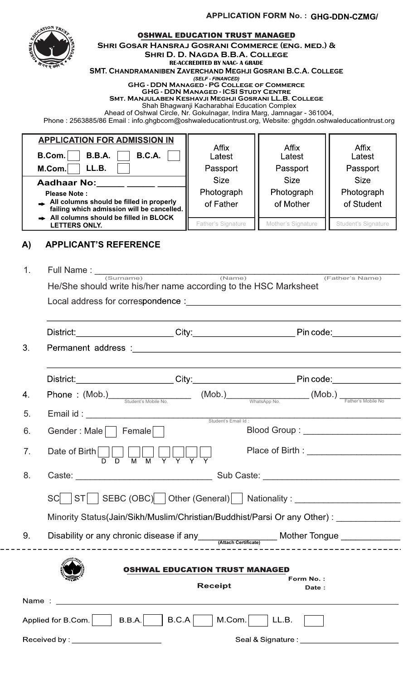**APPLICATION FORM No. : GHG-DDN-CZMG/** 

|                                                                                | <b>SOUCATION TRE</b><br><b>SHRI GOSAR HANSRAJ GOSRANI COMMERCE (ENG. MED.) &amp;</b><br>SMT. CHANDRAMANIBEN ZAVERCHAND MEGHJI GOSRANI B.C.A. COLLEGE<br><b>SMT. MANJULABEN KESHAVJI MEGHJI GOSRANI LL.B. COLLEGE</b><br>Ahead of Oshwal Circle, Nr. Gokulnagar, Indira Marg, Jamnagar - 361004,<br>Phone: 2563885/86 Email: info.ghgbcom@oshwaleducationtrust.org, Website: ghgddn.oshwaleducationtrust.org | <b>OSHWAL EDUCATION TRUST MANAGED</b><br><b>SHRI D. D. NAGDA B.B.A. COLLEGE</b><br><b>RE-ACCREDITED BY NAAC- A GRADE</b><br>(SELF - FINANCED)<br><b>GHG - DDN MANAGED - PG COLLEGE OF COMMERCE</b><br><b>GHG - DDN MANAGED - ICSI STUDY CENTRE</b><br>Shah Bhagwanji Kacharabhai Education Complex |                                                                                         |                                         |  |  |  |  |  |
|--------------------------------------------------------------------------------|-------------------------------------------------------------------------------------------------------------------------------------------------------------------------------------------------------------------------------------------------------------------------------------------------------------------------------------------------------------------------------------------------------------|----------------------------------------------------------------------------------------------------------------------------------------------------------------------------------------------------------------------------------------------------------------------------------------------------|-----------------------------------------------------------------------------------------|-----------------------------------------|--|--|--|--|--|
|                                                                                | <b>APPLICATION FOR ADMISSION IN</b><br><b>B.C.A.</b><br><b>B.B.A.</b><br>B.Com.<br>LL.B.<br>M.Com.                                                                                                                                                                                                                                                                                                          | Affix<br>Latest<br>Passport                                                                                                                                                                                                                                                                        | <b>Affix</b><br>Latest<br>Passport                                                      | <b>Affix</b><br>Latest<br>Passport      |  |  |  |  |  |
|                                                                                | Aadhaar No: <b>William Contract Contract</b><br>Please Note:<br>All columns should be filled in properly<br>failing which admission will be cancelled.<br>All columns should be filled in BLOCK                                                                                                                                                                                                             | <b>Size</b><br>Photograph<br>of Father                                                                                                                                                                                                                                                             | <b>Size</b><br>Photograph<br>of Mother                                                  | <b>Size</b><br>Photograph<br>of Student |  |  |  |  |  |
| A)                                                                             | LETTERS ONLY.<br><b>APPLICANT'S REFERENCE</b>                                                                                                                                                                                                                                                                                                                                                               | Father's Signature                                                                                                                                                                                                                                                                                 | Mother's Signature                                                                      | Student's Signature                     |  |  |  |  |  |
| 1 <sub>1</sub>                                                                 | (Father's Name)<br>He/She should write his/her name according to the HSC Marksheet<br>Local address for correspondence : Network and the set of the set of the set of the set of the set of the set of the set of the set of the set of the set of the set of the set of the set of the set of the set of the set of                                                                                        |                                                                                                                                                                                                                                                                                                    |                                                                                         |                                         |  |  |  |  |  |
|                                                                                | District:________________________City:___________________________Pin code:__________________________                                                                                                                                                                                                                                                                                                        |                                                                                                                                                                                                                                                                                                    |                                                                                         |                                         |  |  |  |  |  |
| 3 <sub>1</sub>                                                                 |                                                                                                                                                                                                                                                                                                                                                                                                             |                                                                                                                                                                                                                                                                                                    |                                                                                         |                                         |  |  |  |  |  |
|                                                                                |                                                                                                                                                                                                                                                                                                                                                                                                             |                                                                                                                                                                                                                                                                                                    | District:________________________City:_________________________Pin code:_______________ |                                         |  |  |  |  |  |
| 4.                                                                             |                                                                                                                                                                                                                                                                                                                                                                                                             | Phone : (Mob.)<br>Student's Mobile No. (Mob.)<br>WhatsApp No. (Mob.)<br>WhatsApp No. (Mob.)                                                                                                                                                                                                        |                                                                                         |                                         |  |  |  |  |  |
| 5 <sub>1</sub>                                                                 |                                                                                                                                                                                                                                                                                                                                                                                                             |                                                                                                                                                                                                                                                                                                    |                                                                                         |                                         |  |  |  |  |  |
| 6.                                                                             | Gender: Male     Female                                                                                                                                                                                                                                                                                                                                                                                     |                                                                                                                                                                                                                                                                                                    |                                                                                         |                                         |  |  |  |  |  |
| 7.                                                                             | Date of Birth $\begin{array}{ c c c c c }\n\hline\nD & D & M & M & Y & Y & Y\n\end{array}$                                                                                                                                                                                                                                                                                                                  |                                                                                                                                                                                                                                                                                                    |                                                                                         |                                         |  |  |  |  |  |
| 8.                                                                             |                                                                                                                                                                                                                                                                                                                                                                                                             |                                                                                                                                                                                                                                                                                                    |                                                                                         |                                         |  |  |  |  |  |
|                                                                                | SC   ST   SEBC (OBC)   Other (General)   Nationality : _________________________                                                                                                                                                                                                                                                                                                                            |                                                                                                                                                                                                                                                                                                    |                                                                                         |                                         |  |  |  |  |  |
|                                                                                | Minority Status(Jain/Sikh/Muslim/Christian/Buddhist/Parsi Or any Other): _____________                                                                                                                                                                                                                                                                                                                      |                                                                                                                                                                                                                                                                                                    |                                                                                         |                                         |  |  |  |  |  |
| 9.                                                                             | Disability or any chronic disease if any <b>Attach Certificate</b> Mother Tongue <b>Music Constant Certificate</b> Certificate Certificate Certificate Certificate Certificate Certificate Certificate Certificate Certificate Certifica                                                                                                                                                                    |                                                                                                                                                                                                                                                                                                    |                                                                                         |                                         |  |  |  |  |  |
| <b>OSHWAL EDUCATION TRUST MANAGED</b><br>Form No.:<br><b>Receipt</b><br>Date : |                                                                                                                                                                                                                                                                                                                                                                                                             |                                                                                                                                                                                                                                                                                                    |                                                                                         |                                         |  |  |  |  |  |
|                                                                                |                                                                                                                                                                                                                                                                                                                                                                                                             |                                                                                                                                                                                                                                                                                                    |                                                                                         |                                         |  |  |  |  |  |
|                                                                                | $B.C.A$   $M.Com.$   LL.B.<br>Applied for B.Com. $\vert$   B.B.A.                                                                                                                                                                                                                                                                                                                                           |                                                                                                                                                                                                                                                                                                    |                                                                                         |                                         |  |  |  |  |  |
| Seal & Signature : ________________                                            |                                                                                                                                                                                                                                                                                                                                                                                                             |                                                                                                                                                                                                                                                                                                    |                                                                                         |                                         |  |  |  |  |  |

 $- - - -$